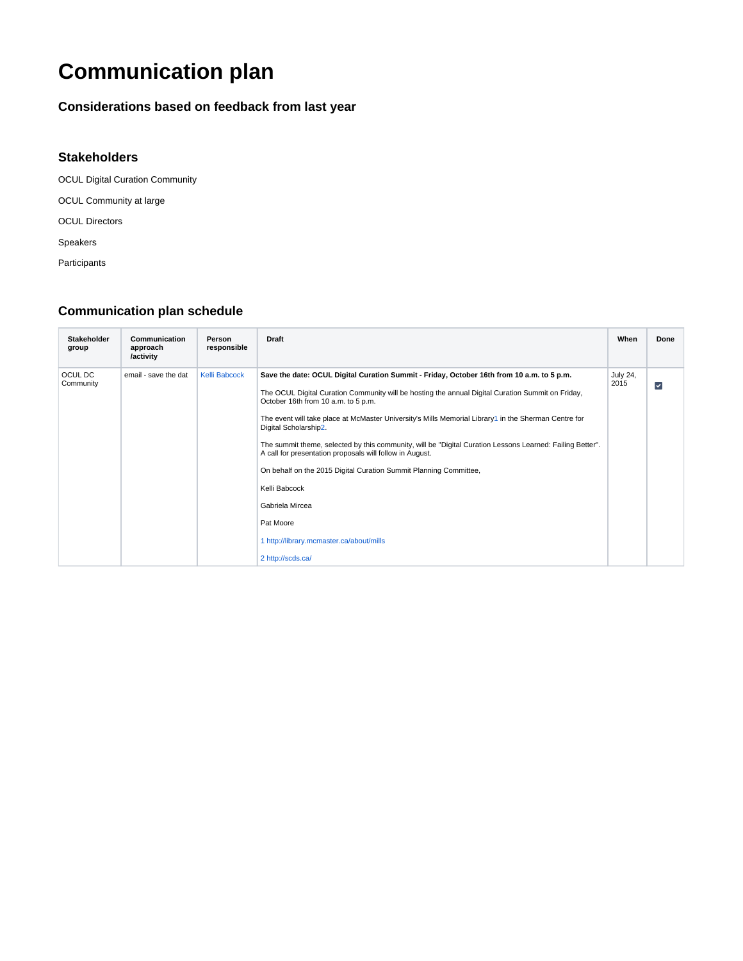## **Communication plan**

## **Considerations based on feedback from last year**

## **Stakeholders**

OCUL Digital Curation Community

OCUL Community at large

OCUL Directors

Speakers

Participants

## **Communication plan schedule**

| Stakeholder<br>group | Communication<br>approach<br>/activity | Person<br>responsible | <b>Draft</b>                                                                                                                                                                                                                                                                                                                                                                                                                                                                                                                                                                                                                                                                                                                           | When                    | Done         |
|----------------------|----------------------------------------|-----------------------|----------------------------------------------------------------------------------------------------------------------------------------------------------------------------------------------------------------------------------------------------------------------------------------------------------------------------------------------------------------------------------------------------------------------------------------------------------------------------------------------------------------------------------------------------------------------------------------------------------------------------------------------------------------------------------------------------------------------------------------|-------------------------|--------------|
| OCUL DC<br>Community | email - save the dat                   | Kelli Babcock         | Save the date: OCUL Digital Curation Summit - Friday, October 16th from 10 a.m. to 5 p.m.<br>The OCUL Digital Curation Community will be hosting the annual Digital Curation Summit on Friday,<br>October 16th from 10 a.m. to 5 p.m.<br>The event will take place at McMaster University's Mills Memorial Library1 in the Sherman Centre for<br>Digital Scholarship2.<br>The summit theme, selected by this community, will be "Digital Curation Lessons Learned: Failing Better".<br>A call for presentation proposals will follow in August.<br>On behalf on the 2015 Digital Curation Summit Planning Committee,<br>Kelli Babcock<br>Gabriela Mircea<br>Pat Moore<br>1 http://library.mcmaster.ca/about/mills<br>2 http://scds.ca/ | <b>July 24,</b><br>2015 | $\checkmark$ |